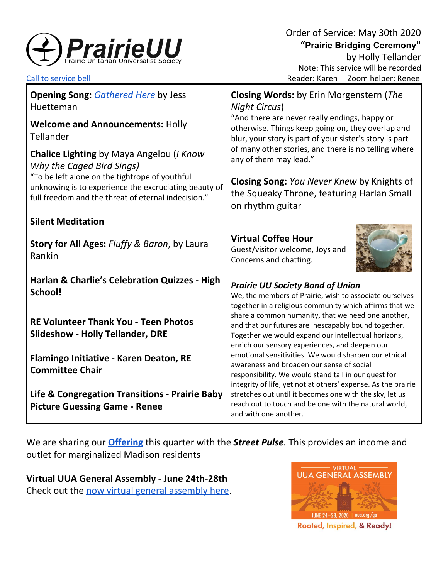

| <b>Opening Song: Gathered Here by Jess</b><br>Huetteman<br><b>Welcome and Announcements: Holly</b><br>Tellander                                                | <b>Closing Words:</b> by Erin Morgenstern (The<br><b>Night Circus)</b><br>"And there are never really endings, happy or<br>otherwise. Things keep going on, they overlap and<br>blur, your story is part of your sister's story is part |
|----------------------------------------------------------------------------------------------------------------------------------------------------------------|-----------------------------------------------------------------------------------------------------------------------------------------------------------------------------------------------------------------------------------------|
| Chalice Lighting by Maya Angelou (I Know<br>Why the Caged Bird Sings)                                                                                          | of many other stories, and there is no telling where<br>any of them may lead."                                                                                                                                                          |
| "To be left alone on the tightrope of youthful<br>unknowing is to experience the excruciating beauty of<br>full freedom and the threat of eternal indecision." | <b>Closing Song: You Never Knew by Knights of</b><br>the Squeaky Throne, featuring Harlan Small<br>on rhythm guitar                                                                                                                     |
| <b>Silent Meditation</b>                                                                                                                                       |                                                                                                                                                                                                                                         |
| <b>Story for All Ages: Fluffy &amp; Baron, by Laura</b><br>Rankin                                                                                              | <b>Virtual Coffee Hour</b><br>Guest/visitor welcome, Joys and<br>Concerns and chatting.                                                                                                                                                 |
| <b>Harlan &amp; Charlie's Celebration Quizzes - High</b><br>School!                                                                                            | <b>Prairie UU Society Bond of Union</b><br>We, the members of Prairie, wish to associate ourselves<br>together in a religious community which affirms that we                                                                           |
| <b>RE Volunteer Thank You - Teen Photos</b><br><b>Slideshow - Holly Tellander, DRE</b>                                                                         | share a common humanity, that we need one another,<br>and that our futures are inescapably bound together.<br>Together we would expand our intellectual horizons,<br>enrich our sensory experiences, and deepen our                     |
| Flamingo Initiative - Karen Deaton, RE<br><b>Committee Chair</b>                                                                                               | emotional sensitivities. We would sharpen our ethical<br>awareness and broaden our sense of social<br>responsibility. We would stand tall in our quest for<br>integrity of life, yet not at others' expense. As the prairie             |
| Life & Congregation Transitions - Prairie Baby<br><b>Picture Guessing Game - Renee</b>                                                                         | stretches out until it becomes one with the sky, let us<br>reach out to touch and be one with the natural world,<br>and with one another.                                                                                               |

We are sharing our **[Offering](https://www.paypal.com/cgi-bin/webscr?cmd=_s-xclick&hosted_button_id=T3LVLF6FD6LPE&source=url)** this quarter with the *Street Pulse.* This provides an income and outlet for marginalized Madison residents

**Virtual UUA General Assembly - June 24th-28th** Check out the now virtual general [assembly](https://www.uua.org/ga) here.



Rooted, Inspired, & Ready!